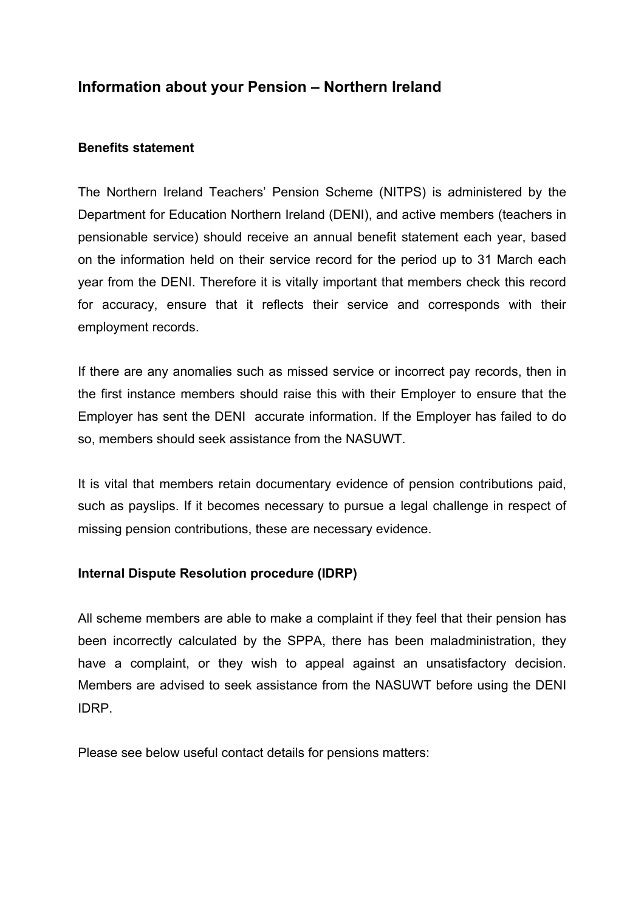## **Information about your Pension – Northern Ireland**

## **Benefits statement**

 pensionable service) should receive an annual benefit statement each year, based The Northern Ireland Teachers' Pension Scheme (NITPS) is administered by the Department for Education Northern Ireland (DENI), and active members (teachers in on the information held on their service record for the period up to 31 March each year from the DENI. Therefore it is vitally important that members check this record for accuracy, ensure that it reflects their service and corresponds with their employment records.

If there are any anomalies such as missed service or incorrect pay records, then in the first instance members should raise this with their Employer to ensure that the Employer has sent the DENI accurate information. If the Employer has failed to do so, members should seek assistance from the NASUWT.

It is vital that members retain documentary evidence of pension contributions paid, such as payslips. If it becomes necessary to pursue a legal challenge in respect of missing pension contributions, these are necessary evidence.

## **Internal Dispute Resolution procedure (IDRP)**

All scheme members are able to make a complaint if they feel that their pension has been incorrectly calculated by the SPPA, there has been maladministration, they have a complaint, or they wish to appeal against an unsatisfactory decision. Members are advised to seek assistance from the NASUWT before using the DENI IDRP.

Please see below useful contact details for pensions matters: